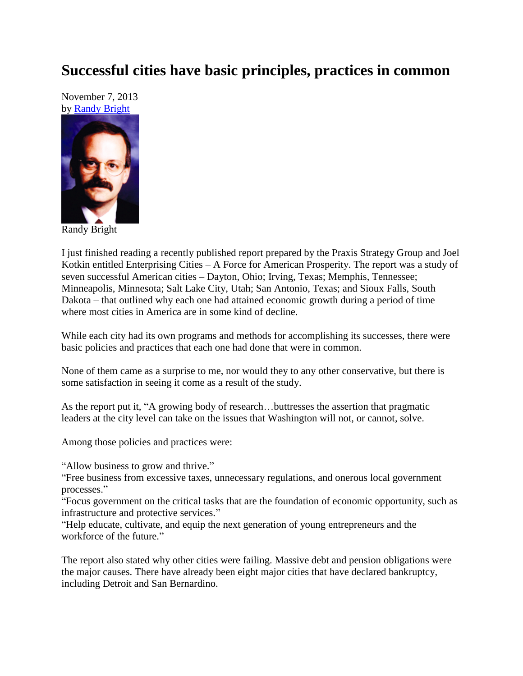## **Successful cities have basic principles, practices in common**

November 7, 2013 by [Randy Bright](http://tulsabeacon.com/writers/randy-bright/)



Randy Bright

I just finished reading a recently published report prepared by the Praxis Strategy Group and Joel Kotkin entitled Enterprising Cities – A Force for American Prosperity. The report was a study of seven successful American cities – Dayton, Ohio; Irving, Texas; Memphis, Tennessee; Minneapolis, Minnesota; Salt Lake City, Utah; San Antonio, Texas; and Sioux Falls, South Dakota – that outlined why each one had attained economic growth during a period of time where most cities in America are in some kind of decline.

While each city had its own programs and methods for accomplishing its successes, there were basic policies and practices that each one had done that were in common.

None of them came as a surprise to me, nor would they to any other conservative, but there is some satisfaction in seeing it come as a result of the study.

As the report put it, "A growing body of research…buttresses the assertion that pragmatic leaders at the city level can take on the issues that Washington will not, or cannot, solve.

Among those policies and practices were:

"Allow business to grow and thrive."

"Free business from excessive taxes, unnecessary regulations, and onerous local government processes."

"Focus government on the critical tasks that are the foundation of economic opportunity, such as infrastructure and protective services."

"Help educate, cultivate, and equip the next generation of young entrepreneurs and the workforce of the future."

The report also stated why other cities were failing. Massive debt and pension obligations were the major causes. There have already been eight major cities that have declared bankruptcy, including Detroit and San Bernardino.